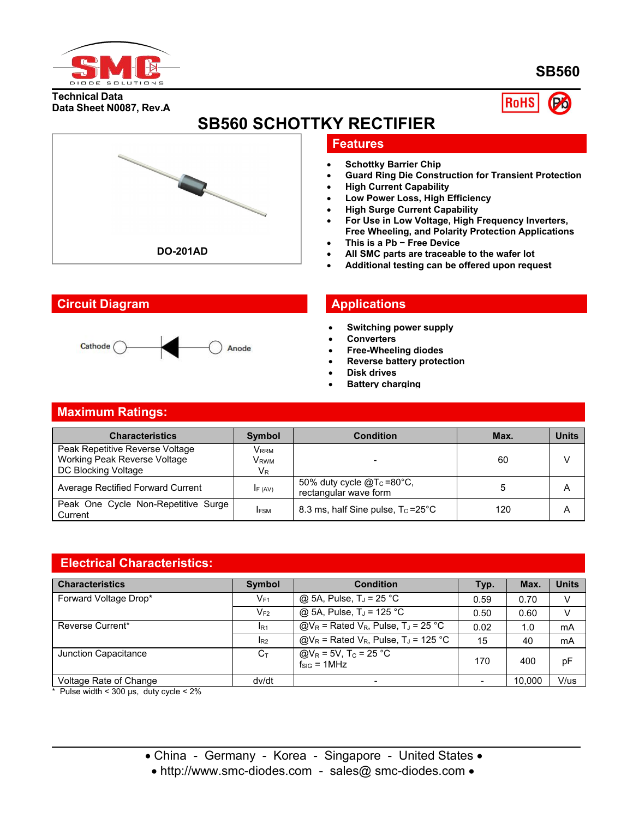

**SB560**

**Technical Data Data Sheet N0087, Rev.A**



# **SB560 SCHOTTKY RECTIFIER**



## **Features**

- **Schottky Barrier Chip**
- **Guard Ring Die Construction for Transient Protection**
- **High Current Capability**
- **Low Power Loss, High Efficiency**
- **High Surge Current Capability**
- **For Use in Low Voltage, High Frequency Inverters, Free Wheeling, and Polarity Protection Applications**
- **This is a Pb − Free Device**
- **All SMC parts are traceable to the wafer lot**
- **Additional testing can be offered upon request**

## **Circuit Diagram Applications**



- **Switching power supply**
- **Converters**
- **Free-Wheeling diodes**
- **Reverse battery protection**
- **Disk drives**
- **Battery charging**

## **Maximum Ratings:**

| <b>Characteristics</b>                                                                 | <b>Symbol</b>                                    | <b>Condition</b>                                        | Max. | <b>Units</b> |
|----------------------------------------------------------------------------------------|--------------------------------------------------|---------------------------------------------------------|------|--------------|
| Peak Repetitive Reverse Voltage<br>Working Peak Reverse Voltage<br>DC Blocking Voltage | Vrrm<br>V <sub>rwm</sub><br><b>V<sub>R</sub></b> |                                                         | 60   |              |
| <b>Average Rectified Forward Current</b>                                               | IF (AV)                                          | 50% duty cycle $@T_c = 80°C$ ,<br>rectangular wave form |      | A            |
| Peak One Cycle Non-Repetitive Surge<br>Current                                         | <b>IFSM</b>                                      | 8.3 ms, half Sine pulse, $T_c = 25^{\circ}C$            | 120  | A            |

## **Electrical Characteristics:**

| <b>Characteristics</b> | <b>Symbol</b>  | <b>Condition</b>                                                   | Typ.                     | Max.   | <b>Units</b> |
|------------------------|----------------|--------------------------------------------------------------------|--------------------------|--------|--------------|
| Forward Voltage Drop*  | $V_{F1}$       | @ 5A, Pulse, $T_J$ = 25 °C                                         | 0.59                     | 0.70   | V            |
|                        | $V_{F2}$       | $@$ 5A, Pulse, T <sub>J</sub> = 125 °C                             | 0.50                     | 0.60   | V            |
| Reverse Current*       | $I_{R1}$       | $@V_R =$ Rated V <sub>R</sub> , Pulse, T <sub>J</sub> = 25 °C      | 0.02                     | 1.0    | mA           |
|                        | $I_{R2}$       | $@V_R$ = Rated V <sub>R</sub> , Pulse, T <sub>J</sub> = 125 °C     | 15                       | 40     | mA           |
| Junction Capacitance   | $C_{\text{t}}$ | $Q/V_R = 5V$ , T <sub>C</sub> = $25°C$<br>$f_{\text{SIG}} = 1$ MHz | 170                      | 400    | рF           |
| Voltage Rate of Change | dv/dt          |                                                                    | $\overline{\phantom{0}}$ | 10.000 | V/us         |

 $*$  Pulse width < 300 µs, duty cycle < 2%

• http://www.smc-diodes.com - sales@ smc-diodes.com •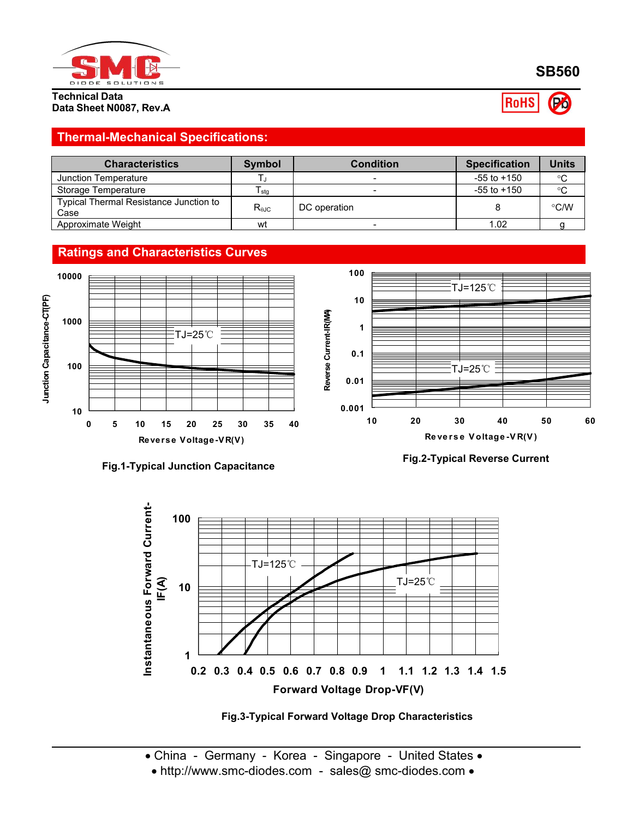

**Technical Data Data Sheet N0087, Rev.A** **SB560**

**RoHS** Po

## **Thermal-Mechanical Specifications:**

| <b>Characteristics</b>                                | Symbol         | <b>Condition</b> | <b>Specification</b> | Units       |
|-------------------------------------------------------|----------------|------------------|----------------------|-------------|
| Junction Temperature                                  |                |                  | $-55$ to $+150$      | $^{\circ}C$ |
| Storage Temperature                                   | l sta          |                  | $-55$ to $+150$      | $^{\circ}C$ |
| <b>Typical Thermal Resistance Junction to</b><br>Case | $R_{\theta$ JC | DC operation     |                      | °C/W        |
| Approximate Weight                                    | wt             |                  | 1.02                 |             |



**Fig.1-Typical Junction Capacitance**

**Fig.2-Typical Reverse Current**



**Fig.3-Typical Forward Voltage Drop Characteristics**

• http://www.smc-diodes.com - sales@ smc-diodes.com •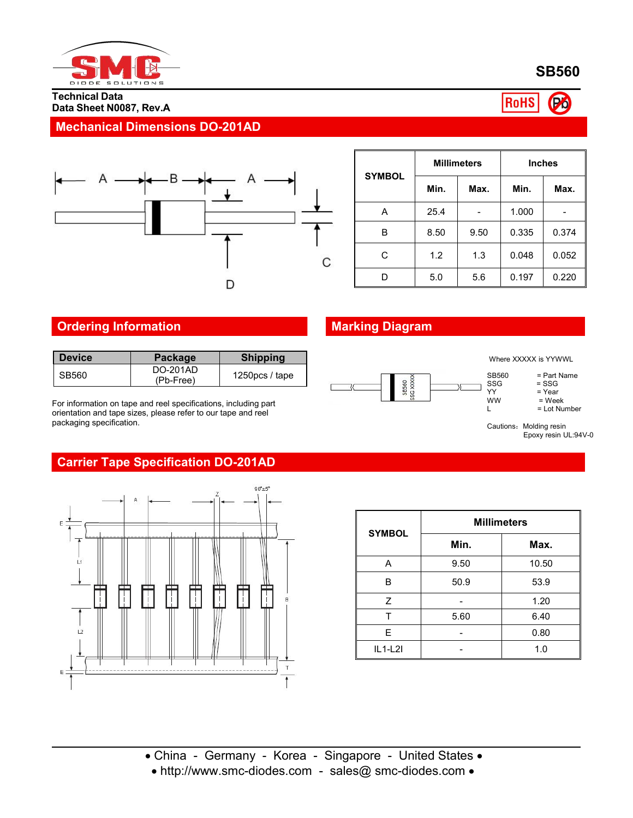

**SB560**

#### **Technical Data Data Sheet N0087, Rev.A**

### **RoHS** (Po)

## **Mechanical Dimensions DO-201AD**



|               | <b>Millimeters</b> |      | <b>Inches</b> |       |
|---------------|--------------------|------|---------------|-------|
| <b>SYMBOL</b> | Min.               | Max. | Min.          | Max.  |
| A             | 25.4               |      | 1.000         |       |
| B             | 8.50               | 9.50 | 0.335         | 0.374 |
| C             | 1.2                | 1.3  | 0.048         | 0.052 |
| D             | 5.0                | 5.6  | 0.197         | 0.220 |

## **Ordering Information Marking Diagram**

| <b>Shipping</b><br><b>Device</b><br><b>Package</b>         |
|------------------------------------------------------------|
| <b>DO-201AD</b><br>1250 $pcs /$ tape<br>SB560<br>(Pb-Free) |

For information on tape and reel specifications, including part orientation and tape sizes, please refer to our tape and reel packaging specification.



Where XXXXX is YYWWL

SB560 = Part Name<br>SSG = SSG

SSG = SSG<br>YY = Year

YY = Year<br>WW = Wee

 $WW = Week$ <br>  $L = Lot Nu$ 

 $=$  Lot Number

Cautions: Molding resin Epoxy resin UL:94V-0

## **Carrier Tape Specification DO-201AD**



| <b>SYMBOL</b> | <b>Millimeters</b> |       |  |  |  |
|---------------|--------------------|-------|--|--|--|
|               | Min.               | Max.  |  |  |  |
| Α             | 9.50               | 10.50 |  |  |  |
| B             | 50.9               | 53.9  |  |  |  |
| Ζ             |                    | 1.20  |  |  |  |
|               | 5.60               | 6.40  |  |  |  |
| E             |                    | 0.80  |  |  |  |
| $IL1-L2I$     |                    | 1.0   |  |  |  |